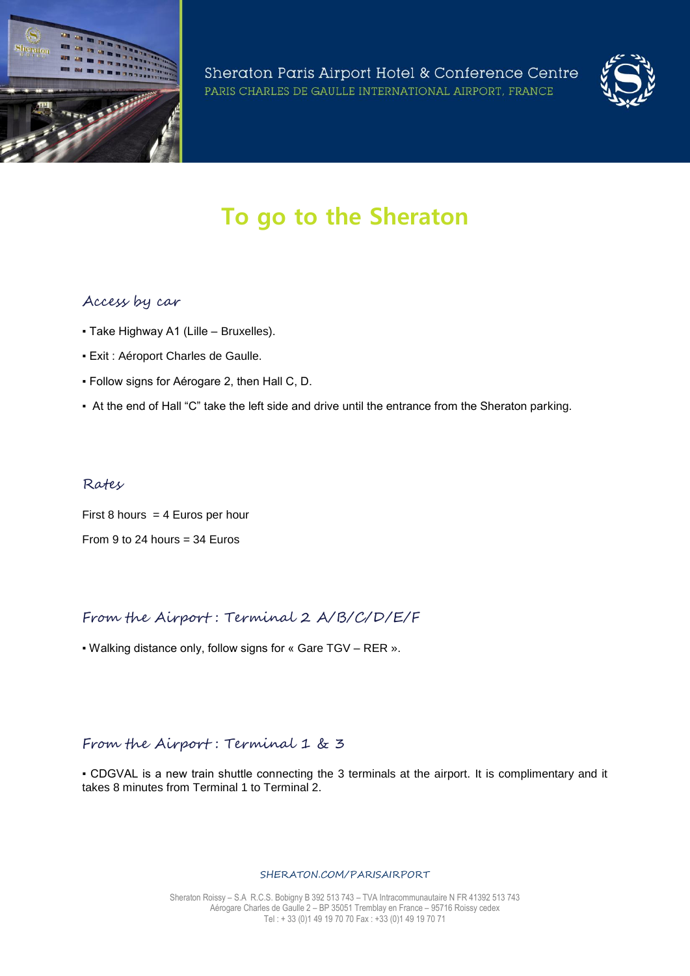

Sheraton Paris Airport Hotel & Conference Centre PARIS CHARLES DE GAULLE INTERNATIONAL AIRPORT, FRANCE



# **To go to the Sheraton**

### Access by car

- Take Highway A1 (Lille Bruxelles).
- Exit : Aéroport Charles de Gaulle.
- Follow signs for Aérogare 2, then Hall C, D.
- At the end of Hall "C" take the left side and drive until the entrance from the Sheraton parking.

#### Rates

First 8 hours  $= 4$  Euros per hour From 9 to 24 hours  $=$  34 Euros

# From the Airport : Terminal 2 A/B/C/D/E/F

▪ Walking distance only, follow signs for « Gare TGV – RER ».

# From the Airport: Terminal 1 & 3

▪ CDGVAL is a new train shuttle connecting the 3 terminals at the airport. It is complimentary and it takes 8 minutes from Terminal 1 to Terminal 2.

#### SHERATON.COM/PARISAIRPORT

Sheraton Roissy – S.A R.C.S. Bobigny B 392 513 743 – TVA Intracommunautaire N FR 41392 513 743 Aérogare Charles de Gaulle 2 – BP 35051 Tremblay en France – 95716 Roissy cedex Tel : + 33 (0)1 49 19 70 70 Fax : +33 (0)1 49 19 70 71